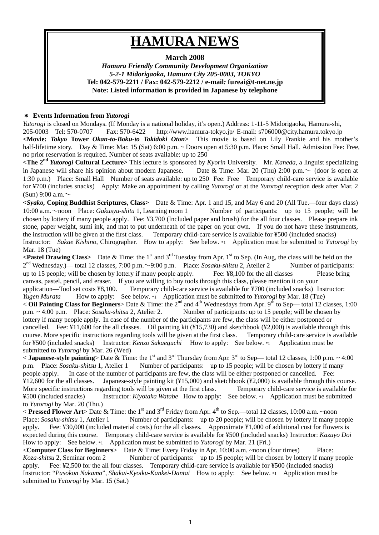# **HAMURA NEWS**

# **March 2008**

*Hamura Friendly Community Development Organization 5-2-1 Midorigaoka, Hamura City 205-0003, TOKYO*  **Tel: 042-579-2211 / Fax: 042-579-2212 / e-mail***:* **fureai@t-net.ne.jp Note: Listed information is provided in Japanese by telephone** 

## \* **Events Information from** *Yutorogi*

*Yutorogi* is closed on Mondays. (If Monday is a national holiday, it's open.) Address: 1-11-5 Midorigaoka, Hamura-shi, 205-0003 Tel: 570-0707 Fax: 570-6422 http://www.hamura-tokyo.jp/ E-mail: s706000@city.hamura.tokyo.jp **<Movie:** *Tokyo* **Tower** *Okan-to-Boku-to Tokidoki Oton***>** This movie is based on Lily Frankie and his mother's half-lifetime story. Day & Time: Mar. 15 (Sat) 6:00 p.m. ~ Doors open at 5:30 p.m. Place: Small Hall. Admission Fee: Free, no prior reservation is required. Number of seats available: up to 250

**<The 2nd** *Yutorogi* **Cultural Lecture>** This lecture is sponsored by *Kyorin* University. Mr. *Kaneda*, a linguist specializing in Japanese will share his opinion about modern Japanese. Date & Time: Mar. 20 (Thu) 2:00 p.m.  $\sim$  (door is open at 1:30 p.m.) Place: Small Hall Number of seats available: up to 250 Fee: Free Temporary child-care service is available for ¥700 (includes snacks) Apply: Make an appointment by calling *Yutorogi* or at the *Yutorogi* reception desk after Mar. 2 (Sun) 9:00 a.m. $\sim$ 

**<***Syako,* **Coping Buddhist Scriptures, Class>** Date & Time: Apr. 1 and 15, and May 6 and 20 (All Tue.—four days class) 10:00 a.m.~noon Place: *Gakusyu-shitu* 1, Learning room 1 Number of participants: up to 15 people; will be chosen by lottery if many people apply. Fee: ¥3,700 (Included paper and brush) for the all four classes. Please prepare ink stone, paper weight, sumi ink, and mat to put underneath of the paper on your own. If you do not have these instruments, the instruction will be given at the first class. Temporary child-care service is available for ¥500 (included snacks) Instructor: *Sakae Kishino*, Chirographer. How to apply: See below. \*1 Application must be submitted to *Yutorogi* by Mar. 18 (Tue)

**Pastel Drawing Class>** Date & Time: the 1<sup>st</sup> and 3<sup>rd</sup> Tuesday from Apr. 1<sup>st</sup> to Sep. (In Aug, the class will be held on the 2<sup>nd</sup> Wednesday.)— total 12 classes, 7:00 p.m.~9:00 p.m. Place: *Sosaku-shitsu* 2, Atelier 2 Number of participants: up to 15 people; will be chosen by lottery if many people apply. Fee: ¥8,100 for the all classes Please bring canvas, pastel, pencil, and eraser. If you are willing to buy tools through this class, please mention it on your application—Tool set costs ¥8,100. Temporary child-care service is available for ¥700 (included snacks) Instructor: *Yugen Murata* How to apply: See below. \*1 Application must be submitted to *Yutorogi* by Mar. 18 (Tue)  $\sim$  Oil Painting Class for Beginners> Date & Time: the 2<sup>nd</sup> and 4<sup>th</sup> Wednesdays from Apr. 9<sup>th</sup> to Sep— total 12 classes, 1:00 p.m. ~ 4:00 p.m. Place: *Sosaku-shitsu* 2, Atelier 2. Number of participants: up to 15 people; will be chosen by lottery if many people apply. In case of the number of the participants are few, the class will be either postponed or cancelled. Fee: ¥11,600 for the all classes. Oil painting kit (¥15,730) and sketchbook (¥2,000) is available through this course. More specific instructions regarding tools will be given at the first class. Temporary child-care service is available for ¥500 (included snacks) Instructor: *Kenzo Sakaeguchi* How to apply: See below. \*1 Application must be submitted to *Yutorogi* by Mar. 26 (Wed)

 $\leq$  **Japanese-style painting**> Date & Time: the 1<sup>st</sup> and 3<sup>rd</sup> Thursday from Apr. 3<sup>rd</sup> to Sep— total 12 classes, 1:00 p.m.  $\sim$  4:00 p.m. Place: *Sosaku-shitsu* 1, Atelier 1 Number of participants: up to 15 people; will be chosen by lottery if many people apply. In case of the number of participants are few, the class will be either postponed or cancelled. Fee: ¥12,600 for the all classes. Japanese-style painting kit (¥15,000) and sketchbook (¥2,000) is available through this course. More specific instructions regarding tools will be given at the first class. Temporary child-care service is available for ¥500 (included snacks) Instructor: *Kiyotaka Watabe* How to apply: See below. \*1 Application must be submitted to *Yutorogi* by Mar. 20 (Thu.)

 $\leq$  **Pressed Flower Art**> Date & Time: the 1<sup>st</sup> and 3<sup>rd</sup> Friday from Apr. 4<sup>th</sup> to Sep.—total 12 classes, 10:00 a.m. ~noon Place: *Sosaku-shitsu* 1, Atelier 1 Number of participants: up to 20 people; will be chosen by lottery if many people apply. Fee: ¥30,000 (included material costs) for the all classes. Approximate ¥1,000 of additional cost for flowers is expected during this course. Temporary child-care service is available for ¥500 (included snacks) Instructor: *Kazuyo Doi*  How to apply: See below. \*1 Application must be submitted to *Yutorogi* by Mar. 21 (Fri.)

<**Computer Class for Beginners**> Date & Time: Every Friday in Apr. 10:00 a.m. ~noon (four times) Place: *Koza-shitsu* 2, Seminar room 2 Number of participants: up to 15 people; will be chosen by lottery if many people apply. Fee: ¥2,500 for the all four classes. Temporary child-care service is available for ¥500 (included snacks) Instructor: "*Pasokon Nakama*", *Shakai-Kyoiku-Kankei-Dantai* How to apply: See below. \*1 Application must be submitted to *Yutorogi* by Mar. 15 (Sat.)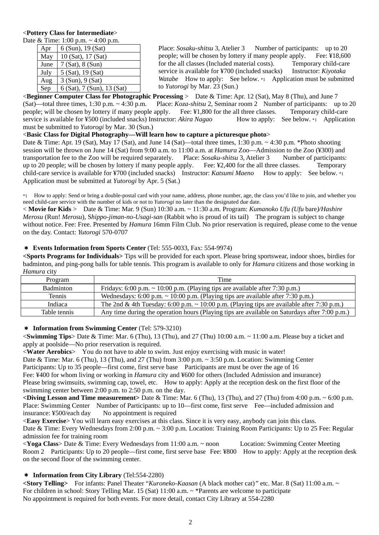## <**Pottery Class for Intermediate**>

Date & Time: 1:00 p.m. ~ 4:00 p.m.

| Apr  | 6 (Sun), 19 (Sat)          |  |  |
|------|----------------------------|--|--|
| May  | 10 (Sat), 17 (Sat)         |  |  |
| June | $7 (Sat)$ , $8 (Sun)$      |  |  |
| July | 5 (Sat), 19 (Sat)          |  |  |
| Aug  | 3 (Sun), 9 (Sat)           |  |  |
| Sep  | 6 (Sat), 7 (Sun), 13 (Sat) |  |  |

Place: *Sosaku-shitsu* 3, Atelier 3 Number of participants: up to 20 people; will be chosen by lottery if many people apply. Fee: ¥18,600 for the all classes (Included material costs). Temporary child-care service is available for ¥700 (included snacks) Instructor: *Kiyotaka Watabe* How to apply: See below. \*1 Application must be submitted to *Yutorogi* by Mar. 23 (Sun.)

<**Beginner Computer Class for Photographic Processing** > Date & Time: Apr. 12 (Sat), May 8 (Thu), and June 7 (Sat)—total three times, 1:30 p.m. ~ 4:30 p.m. Place: *Koza-shitsu* 2, Seminar room 2 Number of participants: up to 20 people; will be chosen by lottery if many people apply. Fee: ¥1,800 for the all three classes. Temporary child-care service is available for ¥500 (included snacks) Instructor: *Akira Nagao* How to apply: See below. \*1 Application must be submitted to *Yutorogi* by Mar. 30 (Sun.)

## <**Basic Class for Digital Photography—Will learn how to capture a picturesque photo**>

Date & Time: Apr. 19 (Sat), May 17 (Sat), and June 14 (Sat)—total three times, 1:30 p.m. ~ 4:30 p.m. \*Photo shooting session will be thrown on June 14 (Sat) from 9:00 a.m. to 11:00 a.m. at *Hamura* Zoo—Admission to the Zoo (¥300) and transportation fee to the Zoo will be required separately. Place: *Sosaku-shitsu* 3, Atelier 3 Number of participants: up to 20 people; will be chosen by lottery if many people apply. Fee: ¥2,400 for the all three classes. Temporary child-care service is available for ¥700 (included snacks) Instructor: *Katsumi Maeno* How to apply: See below. \*1 Application must be submitted at *Yutorogi* by Apr. 5 (Sat.)

\*1 How to apply: Send or bring a double-postal card with your name, address, phone number, age, the class you'd like to join, and whether you need child-care service with the number of kids or not to *Yutorogi* no later than the designated due date.

< **Movie for Kids** > Date & Time: Mar. 9 (Sun) 10:30 a.m. ~ 11:30 a.m. Program: *Kumanoko Ufu (Ufu* bare*)/Hashire Merosu* (Run! *Merosu*), S*hippo-jiman-no-Usagi-san* (Rabbit who is proud of its tail) The program is subject to change without notice. Fee: Free. Presented by *Hamura* 16mm Film Club. No prior reservation is required, please come to the venue on the day. Contact: *Yutorogi* 570-0707

## \* **Events Information from Sports Center** (Tel: 555-0033, Fax: 554-9974)

**<Sports Programs for Individuals>** Tips will be provided for each sport. Please bring sportswear, indoor shoes, birdies for badminton, and ping-pong balls for table tennis. This program is available to only for *Hamura* citizens and those working in *Hamura* city

| Program          | Time                                                                                            |
|------------------|-------------------------------------------------------------------------------------------------|
| <b>Badminton</b> | Fridays: 6:00 p.m. $\sim$ 10:00 p.m. (Playing tips are available after 7:30 p.m.)               |
| Tennis           | Wednesdays: 6:00 p.m. $\sim$ 10:00 p.m. (Playing tips are available after 7:30 p.m.)            |
| Indiaca          | The 2nd & 4th Tuesday: 6:00 p.m. $\sim 10:00$ p.m. (Playing tips are available after 7:30 p.m.) |
| Table tennis     | Any time during the operation hours (Playing tips are available on Saturdays after 7:00 p.m.)   |

### \* **Information from Swimming Center** (Tel: 579-3210)

<**Swimming Tips**> Date & Time: Mar. 6 (Thu), 13 (Thu), and 27 (Thu) 10:00 a.m. ~ 11:00 a.m. Please buy a ticket and apply at poolside—No prior reservation is required.

<**Water Aerobics**> You do not have to able to swim. Just enjoy exercising with music in water!

Date & Time: Mar. 6 (Thu), 13 (Thu), and 27 (Thu) from 3:00 p.m.  $\sim$  3:50 p.m. Location: Swimming Center

Participants: Up to 35 people—first come, first serve base Participants are must be over the age of 16 Fee: ¥400 for whom living or working in *Hamura* city and ¥600 for others (Included Admission and insurance)

Please bring swimsuits, swimming cap, towel, etc. How to apply: Apply at the reception desk on the first floor of the swimming center between 2:00 p.m. to 2:50 p.m. on the day.

**<Diving Lesson and Time measurement>** Date & Time: Mar. 6 (Thu), 13 (Thu), and 27 (Thu) from 4:00 p.m. ~ 6:00 p.m. Place: Swimming Center Number of Participants: up to 10—first come, first serve Fee—included admission and insurance: ¥500/each day No appointment is required

<**Easy Exercise**> You will learn easy exercises at this class. Since it is very easy, anybody can join this class. Date & Time: Every Wednesdays from 2:00 p.m. ~ 3:00 p.m. Location: Training Room Participants: Up to 25 Fee: Regular admission fee for training room

<**Yoga Class**> Date & Time: Every Wednesdays from 11:00 a.m. ~ noon Location: Swimming Center Meeting Room 2 Participants: Up to 20 people—first come, first serve base Fee: ¥800 How to apply: Apply at the reception desk on the second floor of the swimming center.

# \* **Information from City Library** (Tel:554-2280)

**<Story Telling>** For infants: Panel Theater "*Kuroneko-Kaasan* (A black mother cat)*"* etc. Mar. 8 (Sat) 11:00 a.m. ~ For children in school: Story Telling Mar. 15 (Sat) 11:00 a.m. ~ \*Parents are welcome to participate No appointment is required for both events. For more detail, contact City Library at 554-2280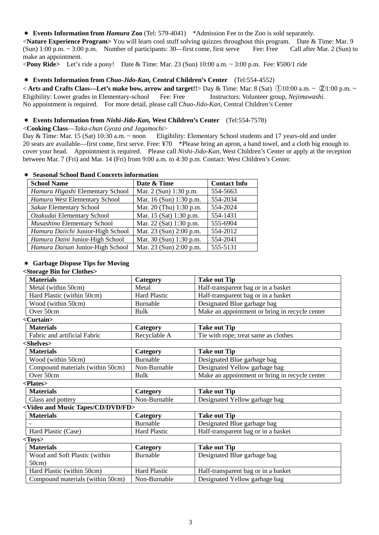#### \* **Events Information from** *Hamura* **Zoo** (Tel: 579-4041) \*Admission Fee to the Zoo is sold separately.

<**Nature Experience Program>** You will learn cool stuff solving quizzes throughout this program. Date & Time: Mar. 9 (Sun) 1:00 p.m. ~ 3:00 p.m. Number of participants: 30—first come, first serve Fee: Free Call after Mar. 2 (Sun) to make an appointment.

<**Pony Ride>** Let's ride a pony! Date & Time: Mar. 23 (Sun) 10:00 a.m. ~ 3:00 p.m. Fee: ¥500/1 ride

#### \* **Events Information from** *Chuo-Jido-Kan,* **Central Children's Center** (Tel:554-4552)

< **Arts and Crafts Class—Let's make bow, arrow and target!!**> Day & Time: Mar. 8 (Sat) ①10:00 a.m. ~ ②1:00 p.m. ~ Eligibility: Lower grades in Elementary-school Fee: Free Instructors: Volunteer group, *Nejimawashi*. No appointment is required. For more detail, please call *Chuo-Jido-Kan,* Central Children's Center

#### \* **Events Information from** *Nishi-Jido-Kan,* **West Children's Center** (Tel:554-7578)

#### <**Cooking Class**—*Taka-chan Gyoza and Jagamochi*>

Day & Time: Mar. 15 (Sat) 10:30 a.m. ~ noon Eligibility: Elementary School students and 17 years-old and under 20 seats are available—first come, first serve. Free: ¥70 \*Please bring an apron, a hand towel, and a cloth big enough to cover your head. Appointment is required. Please call *Nishi-Jido-Kan*, West Children's Center or apply at the reception between Mar. 7 (Fri) and Mar. 14 (Fri) from 9:00 a.m. to 4:30 p.m. Contact: West Children's Center.

#### \* **Seasonal School Band Concerts information**

| <b>School Name</b>                | Date & Time             | <b>Contact Info</b> |
|-----------------------------------|-------------------------|---------------------|
| Hamura Higashi Elementary School  | Mar. 2 (Sun) 1:30 p.m.  | 554-5663            |
| Hamura West Elementary School     | Mar. 16 (Sun) 1:30 p.m. | 554-2034            |
| Sakae Elementary School           | Mar. 20 (Thu) 1:30 p.m. | 554-2024            |
| Ozakudai Elementary School        | Mar. 15 (Sat) 1:30 p.m. | 554-1431            |
| Musashino Elementary School       | Mar. 22 (Sat) 1:30 p.m. | 555-6904            |
| Hamura Daiichi Junior-High School | Mar. 23 (Sun) 2:00 p.m. | 554-2012            |
| Hamura Daini Junior-High School   | Mar. 30 (Sun) 1:30 p.m. | 554-2041            |
| Hamura Daisan Junior-High School  | Mar. 23 (Sun) 2:00 p.m. | 555-5131            |

#### \* **Garbage Dispose Tips for Moving**

#### **<Storage Bin for Clothes>**

| <b>Materials</b>                                            | Category            | <b>Take out Tip</b>                            |  |  |  |
|-------------------------------------------------------------|---------------------|------------------------------------------------|--|--|--|
| Metal (within 50cm)                                         | Metal               | Half-transparent bag or in a basket            |  |  |  |
| Hard Plastic (within 50cm)                                  | <b>Hard Plastic</b> | Half-transparent bag or in a basket            |  |  |  |
| Wood (within 50cm)                                          | <b>Burnable</b>     | Designated Blue garbage bag                    |  |  |  |
| Over 50cm                                                   | <b>Bulk</b>         | Make an appointment or bring in recycle center |  |  |  |
| <curtain></curtain>                                         |                     |                                                |  |  |  |
| <b>Materials</b>                                            | Category            | <b>Take out Tip</b>                            |  |  |  |
| Fabric and artificial Fabric                                | Recyclable A        | Tie with rope; treat same as clothes           |  |  |  |
| <shelves></shelves>                                         |                     |                                                |  |  |  |
| <b>Materials</b>                                            | Category            | <b>Take out Tip</b>                            |  |  |  |
| Wood (within 50cm)                                          | Burnable            | Designated Blue garbage bag                    |  |  |  |
| Compound materials (within 50cm)                            | Non-Burnable        | Designated Yellow garbage bag                  |  |  |  |
| Over 50cm                                                   | <b>Bulk</b>         | Make an appointment or bring in recycle center |  |  |  |
| <plates></plates>                                           |                     |                                                |  |  |  |
| <b>Materials</b>                                            | Category            | <b>Take out Tip</b>                            |  |  |  |
| Glass and pottery                                           | Non-Burnable        | Designated Yellow garbage bag                  |  |  |  |
| <video and="" cd="" dvd="" fd="" music="" tapes=""></video> |                     |                                                |  |  |  |
| <b>Materials</b>                                            | Category            | <b>Take out Tip</b>                            |  |  |  |
|                                                             | Burnable            | Designated Blue garbage bag                    |  |  |  |
| Hard Plastic (Case)                                         | <b>Hard Plastic</b> | Half-transparent bag or in a basket            |  |  |  |
| <toys></toys>                                               |                     |                                                |  |  |  |
| <b>Materials</b>                                            | Category            | <b>Take out Tip</b>                            |  |  |  |
| Wood and Soft Plastic (within                               | Burnable            | Designated Blue garbage bag                    |  |  |  |
| 50cm)                                                       |                     |                                                |  |  |  |
| Hard Plastic (within 50cm)                                  | <b>Hard Plastic</b> | Half-transparent bag or in a basket            |  |  |  |
| Compound materials (within 50cm)                            | Non-Burnable        | Designated Yellow garbage bag                  |  |  |  |